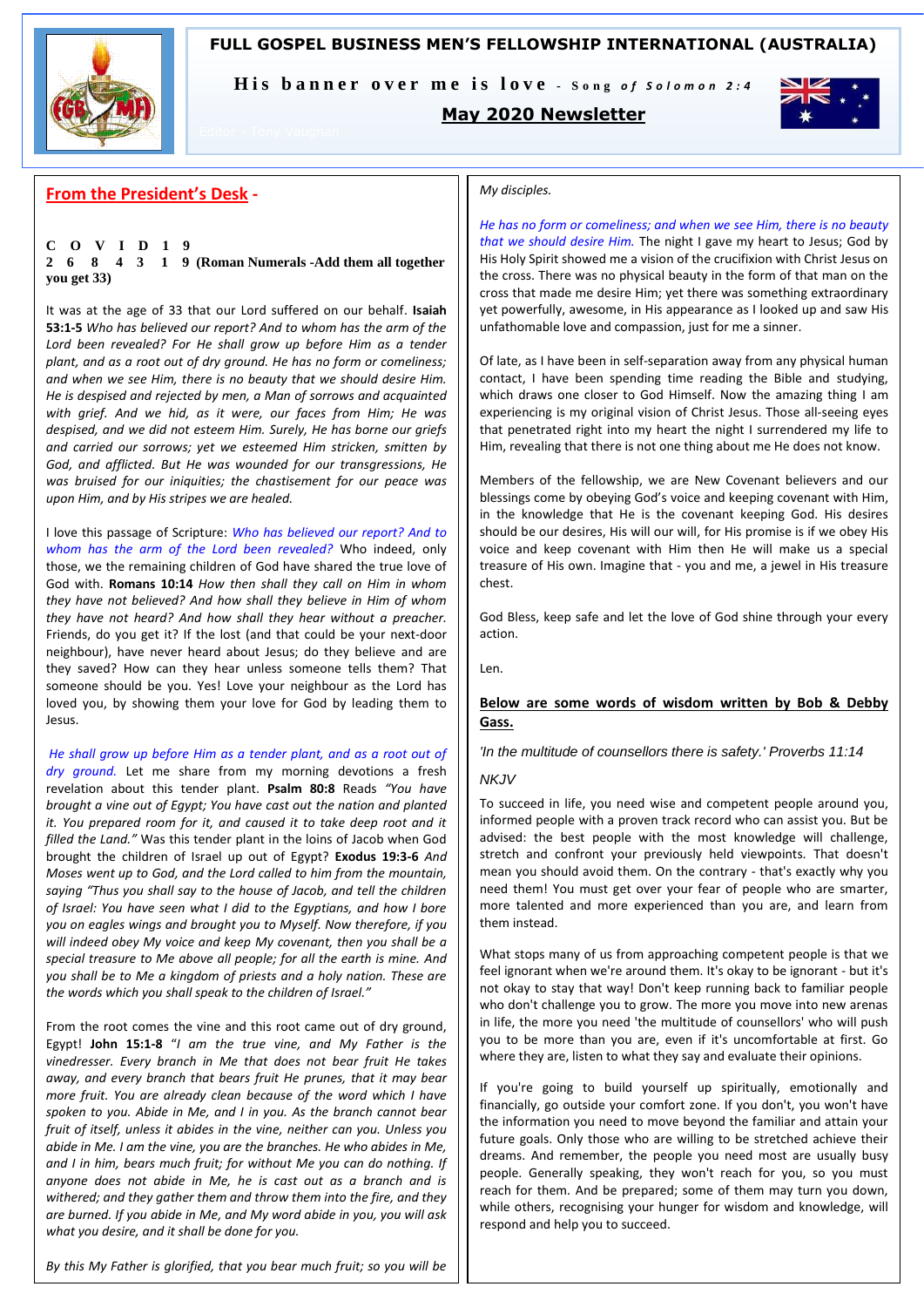# **FULL GOSPEL BUSINESS MEN'S FELLOWSHIP INTERNATIONAL (AUSTRALIA)**



His banner over me is love - Song of Solomon 2:4

# **May 2020 Newsletter**



# **From the President's Desk -**

### **C O V I D 1 9 2 6 8 4 3 1 9 (Roman Numerals -Add them all together you get 33)**

It was at the age of 33 that our Lord suffered on our behalf. **Isaiah 53:1-5** *Who has believed our report? And to whom has the arm of the Lord been revealed? For He shall grow up before Him as a tender plant, and as a root out of dry ground. He has no form or comeliness; and when we see Him, there is no beauty that we should desire Him. He is despised and rejected by men, a Man of sorrows and acquainted with grief. And we hid, as it were, our faces from Him; He was despised, and we did not esteem Him. Surely, He has borne our griefs and carried our sorrows; yet we esteemed Him stricken, smitten by God, and afflicted. But He was wounded for our transgressions, He was bruised for our iniquities; the chastisement for our peace was upon Him, and by His stripes we are healed.* 

I love this passage of Scripture: *Who has believed our report? And to whom has the arm of the Lord been revealed?* Who indeed, only those, we the remaining children of God have shared the true love of God with. **Romans 10:14** *How then shall they call on Him in whom they have not believed? And how shall they believe in Him of whom they have not heard? And how shall they hear without a preacher.*  Friends, do you get it? If the lost (and that could be your next-door neighbour), have never heard about Jesus; do they believe and are they saved? How can they hear unless someone tells them? That someone should be you. Yes! Love your neighbour as the Lord has loved you, by showing them your love for God by leading them to Jesus.

*He shall grow up before Him as a tender plant, and as a root out of dry ground.* Let me share from my morning devotions a fresh revelation about this tender plant. **Psalm 80:8** Reads *"You have brought a vine out of Egypt; You have cast out the nation and planted it. You prepared room for it, and caused it to take deep root and it filled the Land."* Was this tender plant in the loins of Jacob when God brought the children of Israel up out of Egypt? **Exodus 19:3-6** *And Moses went up to God, and the Lord called to him from the mountain, saying "Thus you shall say to the house of Jacob, and tell the children of Israel: You have seen what I did to the Egyptians, and how I bore you on eagles wings and brought you to Myself. Now therefore, if you will indeed obey My voice and keep My covenant, then you shall be a special treasure to Me above all people; for all the earth is mine. And you shall be to Me a kingdom of priests and a holy nation. These are the words which you shall speak to the children of Israel."* 

From the root comes the vine and this root came out of dry ground, Egypt! **John 15:1-8** "*I am the true vine, and My Father is the vinedresser. Every branch in Me that does not bear fruit He takes away, and every branch that bears fruit He prunes, that it may bear more fruit. You are already clean because of the word which I have spoken to you. Abide in Me, and I in you. As the branch cannot bear fruit of itself, unless it abides in the vine, neither can you. Unless you abide in Me. I am the vine, you are the branches. He who abides in Me, and I in him, bears much fruit; for without Me you can do nothing. If anyone does not abide in Me, he is cast out as a branch and is withered; and they gather them and throw them into the fire, and they are burned. If you abide in Me, and My word abide in you, you will ask what you desire, and it shall be done for you.* 

*By this My Father is glorified, that you bear much fruit; so you will be* 

### *My disciples.*

*He has no form or comeliness; and when we see Him, there is no beauty that we should desire Him.* The night I gave my heart to Jesus; God by His Holy Spirit showed me a vision of the crucifixion with Christ Jesus on the cross. There was no physical beauty in the form of that man on the cross that made me desire Him; yet there was something extraordinary yet powerfully, awesome, in His appearance as I looked up and saw His unfathomable love and compassion, just for me a sinner.

Of late, as I have been in self-separation away from any physical human contact, I have been spending time reading the Bible and studying, which draws one closer to God Himself. Now the amazing thing I am experiencing is my original vision of Christ Jesus. Those all-seeing eyes that penetrated right into my heart the night I surrendered my life to Him, revealing that there is not one thing about me He does not know.

Members of the fellowship, we are New Covenant believers and our blessings come by obeying God's voice and keeping covenant with Him, in the knowledge that He is the covenant keeping God. His desires should be our desires, His will our will, for His promise is if we obey His voice and keep covenant with Him then He will make us a special treasure of His own. Imagine that - you and me, a jewel in His treasure chest.

God Bless, keep safe and let the love of God shine through your every action.

Len.

### **Below are some words of wisdom written by Bob & Debby Gass.**

### *'In the multitude of counsellors there is safety.' Proverbs 11:14*

### *NKJV*

To succeed in life, you need wise and competent people around you, informed people with a proven track record who can assist you. But be advised: the best people with the most knowledge will challenge, stretch and confront your previously held viewpoints. That doesn't mean you should avoid them. On the contrary - that's exactly why you need them! You must get over your fear of people who are smarter, more talented and more experienced than you are, and learn from them instead.

What stops many of us from approaching competent people is that we feel ignorant when we're around them. It's okay to be ignorant - but it's not okay to stay that way! Don't keep running back to familiar people who don't challenge you to grow. The more you move into new arenas in life, the more you need 'the multitude of counsellors' who will push you to be more than you are, even if it's uncomfortable at first. Go where they are, listen to what they say and evaluate their opinions.

If you're going to build yourself up spiritually, emotionally and financially, go outside your comfort zone. If you don't, you won't have the information you need to move beyond the familiar and attain your future goals. Only those who are willing to be stretched achieve their dreams. And remember, the people you need most are usually busy people. Generally speaking, they won't reach for you, so you must reach for them. And be prepared; some of them may turn you down, while others, recognising your hunger for wisdom and knowledge, will respond and help you to succeed.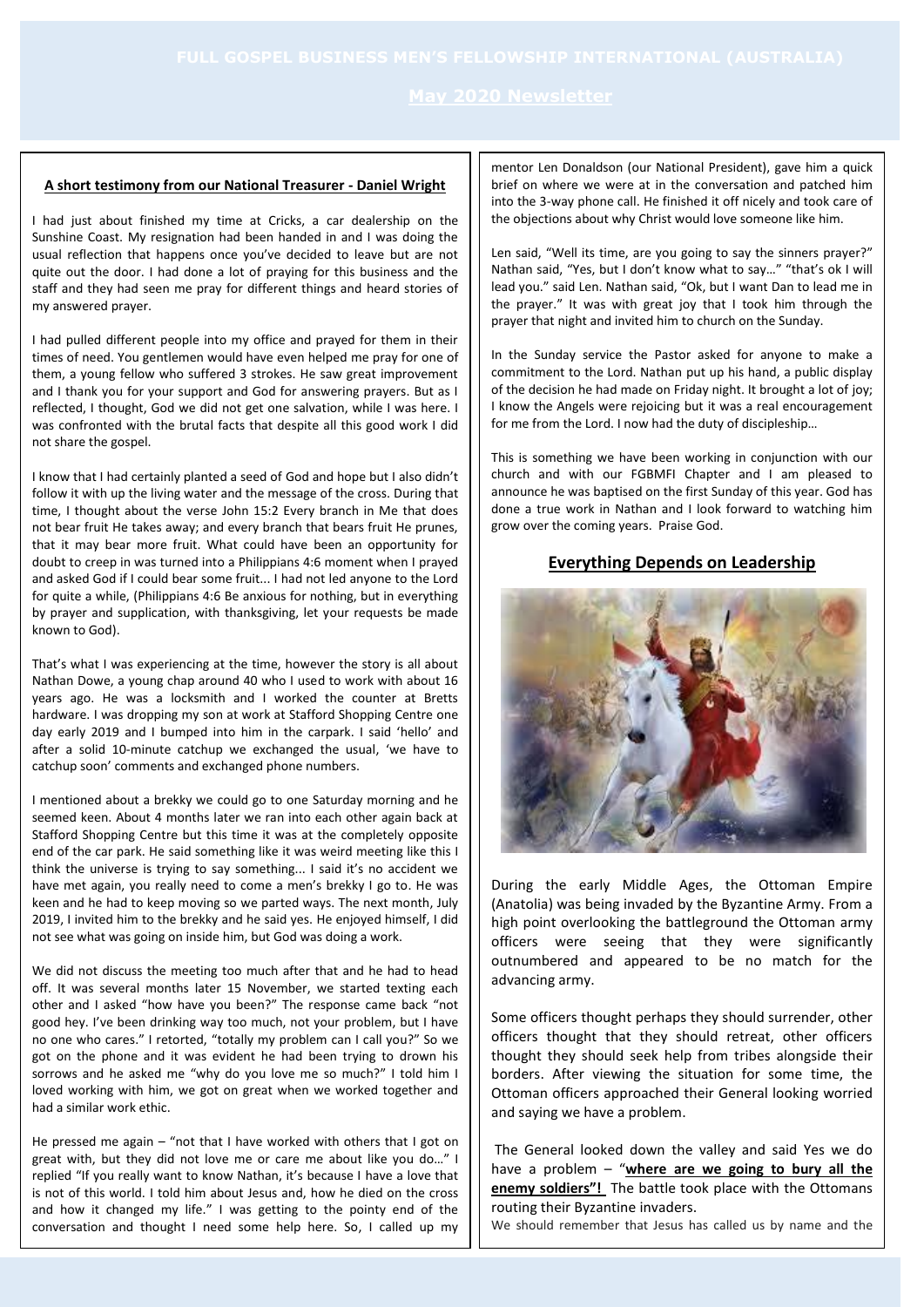### **A short testimony from our National Treasurer - Daniel Wright**

I had just about finished my time at Cricks, a car dealership on the Sunshine Coast. My resignation had been handed in and I was doing the usual reflection that happens once you've decided to leave but are not quite out the door. I had done a lot of praying for this business and the staff and they had seen me pray for different things and heard stories of my answered prayer.

I had pulled different people into my office and prayed for them in their times of need. You gentlemen would have even helped me pray for one of them, a young fellow who suffered 3 strokes. He saw great improvement and I thank you for your support and God for answering prayers. But as I reflected, I thought, God we did not get one salvation, while I was here. I was confronted with the brutal facts that despite all this good work I did not share the gospel.

I know that I had certainly planted a seed of God and hope but I also didn't follow it with up the living water and the message of the cross. During that time, I thought about the verse John 15:2 Every branch in Me that does not bear fruit He takes away; and every branch that bears fruit He prunes, that it may bear more fruit. What could have been an opportunity for doubt to creep in was turned into a Philippians 4:6 moment when I prayed and asked God if I could bear some fruit... I had not led anyone to the Lord for quite a while, (Philippians 4:6 Be anxious for nothing, but in everything by prayer and supplication, with thanksgiving, let your requests be made known to God).

That's what I was experiencing at the time, however the story is all about Nathan Dowe, a young chap around 40 who I used to work with about 16 years ago. He was a locksmith and I worked the counter at Bretts hardware. I was dropping my son at work at Stafford Shopping Centre one day early 2019 and I bumped into him in the carpark. I said 'hello' and after a solid 10-minute catchup we exchanged the usual, 'we have to catchup soon' comments and exchanged phone numbers.

I mentioned about a brekky we could go to one Saturday morning and he seemed keen. About 4 months later we ran into each other again back at Stafford Shopping Centre but this time it was at the completely opposite end of the car park. He said something like it was weird meeting like this I think the universe is trying to say something... I said it's no accident we have met again, you really need to come a men's brekky I go to. He was keen and he had to keep moving so we parted ways. The next month, July 2019, I invited him to the brekky and he said yes. He enjoyed himself, I did not see what was going on inside him, but God was doing a work.

We did not discuss the meeting too much after that and he had to head off. It was several months later 15 November, we started texting each other and I asked "how have you been?" The response came back "not good hey. I've been drinking way too much, not your problem, but I have no one who cares." I retorted, "totally my problem can I call you?" So we got on the phone and it was evident he had been trying to drown his sorrows and he asked me "why do you love me so much?" I told him I loved working with him, we got on great when we worked together and had a similar work ethic.

He pressed me again – "not that I have worked with others that I got on great with, but they did not love me or care me about like you do…" I replied "If you really want to know Nathan, it's because I have a love that is not of this world. I told him about Jesus and, how he died on the cross and how it changed my life." I was getting to the pointy end of the conversation and thought I need some help here. So, I called up my

mentor Len Donaldson (our National President), gave him a quick brief on where we were at in the conversation and patched him into the 3-way phone call. He finished it off nicely and took care of the objections about why Christ would love someone like him.

Len said, "Well its time, are you going to say the sinners prayer?" Nathan said, "Yes, but I don't know what to say…" "that's ok I will lead you." said Len. Nathan said, "Ok, but I want Dan to lead me in the prayer." It was with great joy that I took him through the prayer that night and invited him to church on the Sunday.

In the Sunday service the Pastor asked for anyone to make a commitment to the Lord. Nathan put up his hand, a public display of the decision he had made on Friday night. It brought a lot of joy; I know the Angels were rejoicing but it was a real encouragement for me from the Lord. I now had the duty of discipleship…

This is something we have been working in conjunction with our church and with our FGBMFI Chapter and I am pleased to announce he was baptised on the first Sunday of this year. God has done a true work in Nathan and I look forward to watching him grow over the coming years. Praise God.

## **Everything Depends on Leadership**



During the early Middle Ages, the Ottoman Empire (Anatolia) was being invaded by the Byzantine Army. From a high point overlooking the battleground the Ottoman army officers were seeing that they were significantly outnumbered and appeared to be no match for the advancing army.

Some officers thought perhaps they should surrender, other officers thought that they should retreat, other officers thought they should seek help from tribes alongside their borders. After viewing the situation for some time, the Ottoman officers approached their General looking worried and saying we have a problem.

The General looked down the valley and said Yes we do have a problem – "**where are we going to bury all the enemy soldiers"!** The battle took place with the Ottomans routing their Byzantine invaders.

We should remember that Jesus has called us by name and the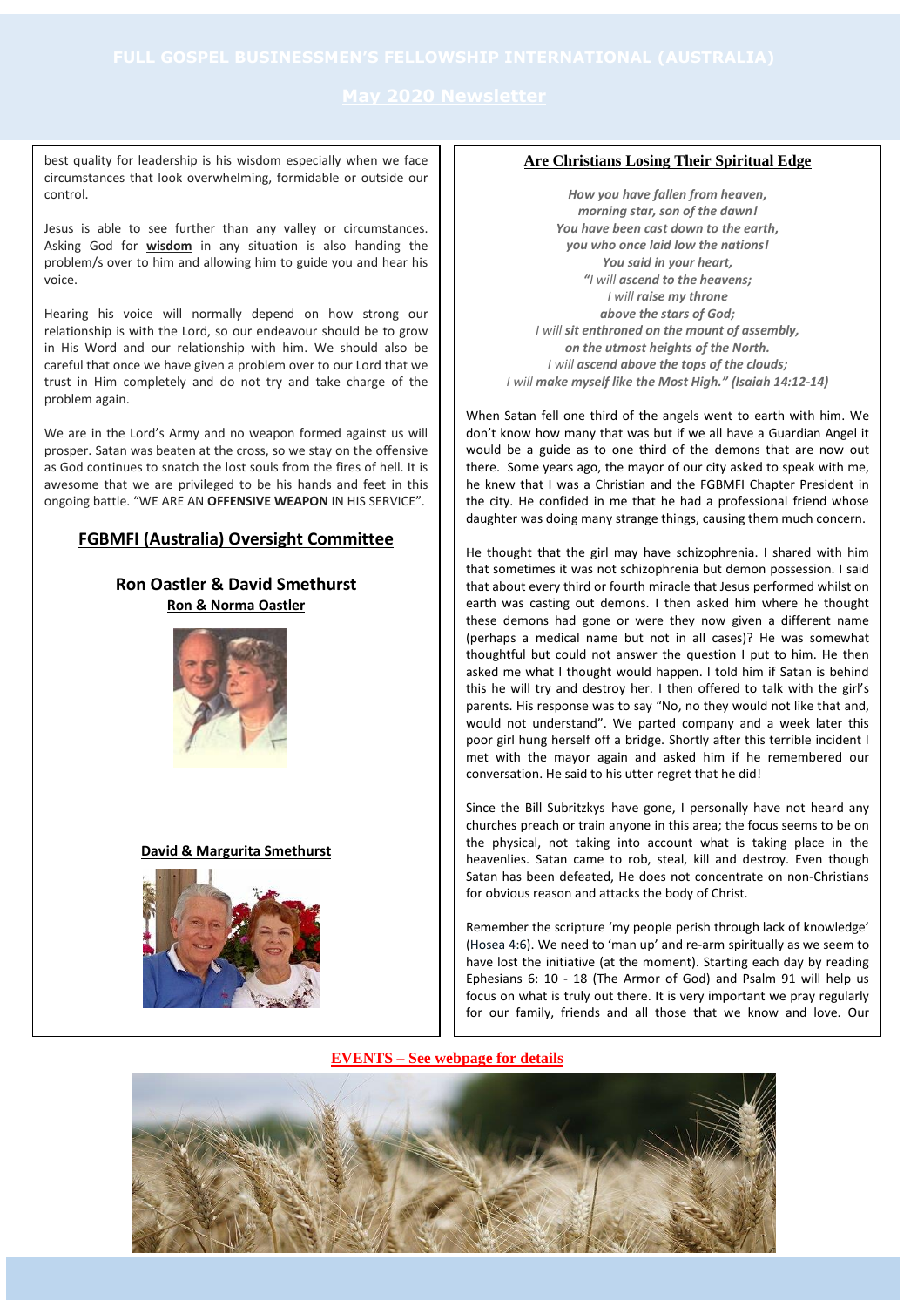best quality for leadership is his wisdom especially when we face circumstances that look overwhelming, formidable or outside our control.

Jesus is able to see further than any valley or circumstances. Asking God for **wisdom** in any situation is also handing the problem/s over to him and allowing him to guide you and hear his voice.

Hearing his voice will normally depend on how strong our relationship is with the Lord, so our endeavour should be to grow in His Word and our relationship with him. We should also be careful that once we have given a problem over to our Lord that we trust in Him completely and do not try and take charge of the problem again.

We are in the Lord's Army and no weapon formed against us will prosper. Satan was beaten at the cross, so we stay on the offensive as God continues to snatch the lost souls from the fires of hell. It is awesome that we are privileged to be his hands and feet in this ongoing battle. "WE ARE AN **OFFENSIVE WEAPON** IN HIS SERVICE".

# **FGBMFI (Australia) Oversight Committee**

# **Ron Oastler & David Smethurst Ron & Norma Oastler**



### **David & Margurita Smethurst**



## **Are Christians Losing Their Spiritual Edge**

*How you have fallen from heaven, morning star, son of the dawn! You have been cast down to the earth, you who once laid low the nations! You said in your heart, "I will ascend to the heavens; I will raise my throne above the stars of God; I will sit enthroned on the mount of assembly, on the utmost heights of the North. I will ascend above the tops of the clouds; I will make myself like the Most High." (Isaiah 14:12-14)*

When Satan fell one third of the angels went to earth with him. We don't know how many that was but if we all have a Guardian Angel it would be a guide as to one third of the demons that are now out there. Some years ago, the mayor of our city asked to speak with me, he knew that I was a Christian and the FGBMFI Chapter President in the city. He confided in me that he had a professional friend whose daughter was doing many strange things, causing them much concern.

He thought that the girl may have schizophrenia. I shared with him that sometimes it was not schizophrenia but demon possession. I said that about every third or fourth miracle that Jesus performed whilst on earth was casting out demons. I then asked him where he thought these demons had gone or were they now given a different name (perhaps a medical name but not in all cases)? He was somewhat thoughtful but could not answer the question I put to him. He then asked me what I thought would happen. I told him if Satan is behind this he will try and destroy her. I then offered to talk with the girl's parents. His response was to say "No, no they would not like that and, would not understand". We parted company and a week later this poor girl hung herself off a bridge. Shortly after this terrible incident I met with the mayor again and asked him if he remembered our conversation. He said to his utter regret that he did!

Since the Bill Subritzkys have gone, I personally have not heard any churches preach or train anyone in this area; the focus seems to be on the physical, not taking into account what is taking place in the heavenlies. Satan came to rob, steal, kill and destroy. Even though Satan has been defeated, He does not concentrate on non-Christians for obvious reason and attacks the body of Christ.

Remember the scripture 'my people perish through lack of knowledge' (Hosea 4:6). We need to 'man up' and re-arm spiritually as we seem to have lost the initiative (at the moment). Starting each day by reading Ephesians 6: 10 - 18 (The Armor of God) and Psalm 91 will help us focus on what is truly out there. It is very important we pray regularly for our family, friends and all those that we know and love. Our

## **EVENTS – See webpage for details**